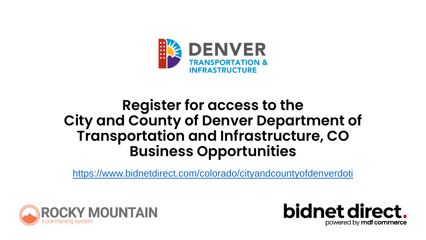

#### **Register for access to the City and County of Denver Department of Transportation and Infrastructure, CO Business Opportunities**

<https://www.bidnetdirect.com/colorado/cityandcountyofdenverdoti>



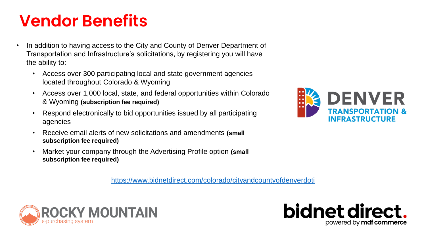#### **Vendor Benefits**

- In addition to having access to the City and County of Denver Department of Transportation and Infrastructure's solicitations, by registering you will have the ability to:
	- Access over 300 participating local and state government agencies located throughout Colorado & Wyoming
	- Access over 1,000 local, state, and federal opportunities within Colorado & Wyoming **(subscription fee required)**
	- Respond electronically to bid opportunities issued by all participating agencies
	- Receive email alerts of new solicitations and amendments **(small subscription fee required)**
	- Market your company through the Advertising Profile option **(small subscription fee required)**

<https://www.bidnetdirect.com/colorado/cityandcountyofdenverdoti>





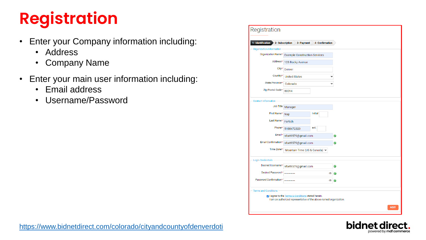# **Registration**

- Enter your Company information including:
	- Address
	- Company Name
- Enter your main user information including:
	- Email address
	- Username/Password

| Registration                |                                                                                                                          |                 |   |             |
|-----------------------------|--------------------------------------------------------------------------------------------------------------------------|-----------------|---|-------------|
| 1- Identification           | 2- Subscription<br>3- Payment                                                                                            | 4- Confirmation |   |             |
| Organization Information    |                                                                                                                          |                 |   |             |
| Organization Name*          | <b>Example Construction Services</b>                                                                                     |                 |   |             |
| Address*                    | 123 Rocky Avenue                                                                                                         |                 |   |             |
| City*                       | Denver                                                                                                                   |                 |   |             |
| Country*                    | <b>United States</b>                                                                                                     |                 |   |             |
| State/Province*             | Colorado                                                                                                                 |                 |   |             |
| Zip/Postal Code*            | 80014                                                                                                                    |                 |   |             |
| <b>Contact Information</b>  |                                                                                                                          |                 |   |             |
| Job Title                   | Manager                                                                                                                  |                 |   |             |
| First Name*                 | Nap                                                                                                                      | Initial         |   |             |
| Last Name*                  | Fortich                                                                                                                  |                 |   |             |
| Phone*                      | 5188472320                                                                                                               | ext.            |   |             |
| Email*                      | nfort9579@gmail.com                                                                                                      |                 |   |             |
| Email Confirmation*         | nfort9579@gmail.com                                                                                                      |                 |   |             |
| Time Zone*                  | Mountain Time (US & Canada) v                                                                                            |                 |   |             |
| <b>Login Credentials</b>    |                                                                                                                          |                 |   |             |
| Desired Username*           | nfort9579@gmail.com                                                                                                      |                 |   |             |
| Desired Password*           |                                                                                                                          |                 | œ |             |
| Password Confirmation*      |                                                                                                                          |                 | œ |             |
| <b>Terms and Conditions</b> |                                                                                                                          |                 |   |             |
|                             | 2 I agree to the Terms & Conditions stated herein.<br>I am an authorized representative of the above-named organization. |                 |   |             |
|                             |                                                                                                                          |                 |   | <b>NEXT</b> |

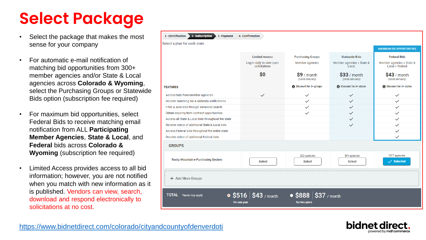# **Select Package**

- Select the package that makes the most sense for your company
- For automatic e-mail notification of matching bid opportunities from 300+ member agencies and/or State & Local agencies across **Colorado & Wyoming**, select the Purchasing Groups or Statewide Bids option (subscription fee required)
- For maximum bid opportunities, select Federal Bids to receive matching email notification from ALL **Participating Member Agencies**, **State & Local**, and **Federal** bids across **Colorado & Wyoming** (subscription fee required)
- Limited Access provides access to all bid information; however, you are not notified when you match with new information as it is published. Vendors can view, search, download and respond electronically to solicitations at no cost.

| 1- Identification<br>2- Subscription<br>3- Payment | 4- Confirmation                                |                                                 |                                    |                                              |
|----------------------------------------------------|------------------------------------------------|-------------------------------------------------|------------------------------------|----------------------------------------------|
| Select a plan for each state                       |                                                |                                                 |                                    |                                              |
|                                                    |                                                |                                                 |                                    | <b>MAXIMUM BID OPPORTUNITIES</b>             |
|                                                    | <b>Limited Access</b>                          | <b>Purchasing Groups</b>                        | <b>Statewide Bids</b>              | <b>Federal Bids</b>                          |
|                                                    | Log in daily to view open<br>solicitations     | Member agencies                                 | Member agencies + State &<br>Local | Member agencies + State &<br>Local + Federal |
|                                                    | \$0                                            | $$9/$ month<br>(billed annually)                | $$33/$ month<br>(billed annually)  | $$43/$ month<br>(billed annually)            |
| <b>FEATURES</b>                                    |                                                | Discount for 3+ groups                          | Discount for 3+ states             | Discount for 3+ states                       |
| Access bids from Member agencies                   | $\checkmark$                                   | $\checkmark$                                    | $\checkmark$                       | $\checkmark$                                 |
| Receive matching bid & addenda notifications       |                                                | $\checkmark$                                    | $\checkmark$                       | $\checkmark$                                 |
| Filter & save bids through advanced search         |                                                | $\checkmark$                                    | $\checkmark$                       | $\checkmark$                                 |
| Obtain expiring term contract opportunities        |                                                | $\checkmark$                                    | $\checkmark$                       | $\checkmark$                                 |
| Access all State & Local bids throughout the state |                                                |                                                 | $\checkmark$                       | $\checkmark$                                 |
| Receive notice of additional State & Local bids    |                                                |                                                 | $\checkmark$                       | $\checkmark$                                 |
| Access Federal bids throughout the entire state    |                                                |                                                 |                                    | $\checkmark$                                 |
| Receive notice of additional Federal bids          |                                                |                                                 |                                    | $\checkmark$                                 |
| <b>GROUPS</b>                                      |                                                |                                                 |                                    |                                              |
|                                                    |                                                | 322 agencies                                    | 541 agencies                       | 1317 agencies                                |
| Rocky Mountain e-Purchasing System                 | Select                                         | Select                                          | Select                             | $\checkmark$ Selected                        |
| + Add More Groups                                  |                                                |                                                 |                                    |                                              |
| <b>TOTAL</b><br>Taxes may apply                    | $\bullet$ \$516   \$43 / month<br>for one year | $\bullet$ \$888   \$37 / month<br>for two years |                                    |                                              |



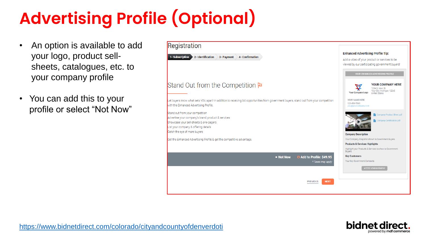# **Advertising Profile (Optional)**

- An option is available to add your logo, product sellsheets, catalogues, etc. to your company profile
- You can add this to your profile or select "Not Now"

| Registration                                                                                                                                                                                            |                                                                                                                                                                                          |
|---------------------------------------------------------------------------------------------------------------------------------------------------------------------------------------------------------|------------------------------------------------------------------------------------------------------------------------------------------------------------------------------------------|
| 2- Identification<br>1- Subscription<br>3- Payment<br>4- Confirmation                                                                                                                                   | <b>Enhanced Advertising Profile Tip:</b><br>Add a video of your product or services to be<br>viewed by our participating government buyers!                                              |
|                                                                                                                                                                                                         | YOUR ENHANCED ADVERTISING PROFILE                                                                                                                                                        |
| Stand Out from the Competition <b>P</b>                                                                                                                                                                 | <b>YOUR COMPANY HERE</b><br>1234 S. Main St<br>Your City, Michigan, 12345<br>Your Company Logo<br><b>United States</b>                                                                   |
| Let buyers know what sets YOU apart! In addition to receiving bid opportunities from government buyers, stand out from your competition<br>with the Enhanced Advertising Profile.                       | YOUR NAME HERE<br>123-456-7890<br>you@yourcompany.com                                                                                                                                    |
| Stand out from your competition<br>Advertise your company's brand, product & services<br>Showcase your sell-sheets & one-pagers<br>List your company & offering details<br>Catch the eye of more buyers | Company Product Sheet.pdf<br>Company Certification pdf                                                                                                                                   |
| Get the Enhanced Advertising Profile & get the competitive advantage.                                                                                                                                   | <b>Company Description</b><br>Your Company Snapshot shown to Government Buyers.<br><b>Products &amp; Services Highlights</b><br>Highlight your Products & Services to show to Government |
| O Add to Profile: \$49.95<br>• Not Now<br>* Taxes may apply                                                                                                                                             | Buyers.<br><b>Key Customers</b><br>Your Key Government Contracts<br><b>ACCESS VENDOR PROFILE</b>                                                                                         |
| <b>PREVIOUS</b><br><b>NEXT</b>                                                                                                                                                                          |                                                                                                                                                                                          |



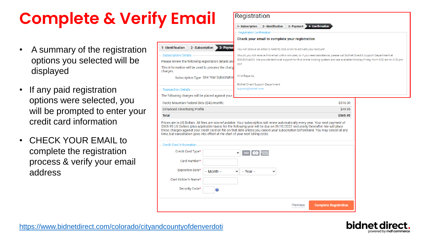## **Complete & Verify Email**

- A summary of the registration options you selected will be displayed
- If any paid registration options were selected, you will be prompted to enter your credit card information
- CHECK YOUR EMAIL to complete the registration process & verify your email address

|                                                                                  | 1- Subscription<br>2- Identification<br>4- Confirmation<br>3- Payment                                                                                                                                                                                                                                                                                                                                        |                              |
|----------------------------------------------------------------------------------|--------------------------------------------------------------------------------------------------------------------------------------------------------------------------------------------------------------------------------------------------------------------------------------------------------------------------------------------------------------------------------------------------------------|------------------------------|
|                                                                                  | <b>Registration Confirmation</b>                                                                                                                                                                                                                                                                                                                                                                             |                              |
|                                                                                  | Check your email to complete your registration                                                                                                                                                                                                                                                                                                                                                               |                              |
| 1- Identification<br>2- Subscription<br>3- Payme                                 | You will receive an email & need to click a link to activate your account.                                                                                                                                                                                                                                                                                                                                   |                              |
| <b>Subscription Details</b>                                                      | Should you not receive this email within minutes, or if you need assistance, please call BidNet Direct's Support Department at                                                                                                                                                                                                                                                                               |                              |
| Please review the following registration details and                             | 800-835-4603. We provide technical support for this online bidding system and are available Monday-Friday from 8:00 am to 8:00 pm<br>EST.                                                                                                                                                                                                                                                                    |                              |
| This information will be used to process the charge<br>charges.                  |                                                                                                                                                                                                                                                                                                                                                                                                              |                              |
| Subscription Type One Year Subscription                                          | Kind Regards,                                                                                                                                                                                                                                                                                                                                                                                                |                              |
|                                                                                  | <b>BidNet Direct Support Department</b>                                                                                                                                                                                                                                                                                                                                                                      |                              |
| <b>Transaction Details</b>                                                       | support@bidnet.com                                                                                                                                                                                                                                                                                                                                                                                           |                              |
| The following charges will be placed against your                                |                                                                                                                                                                                                                                                                                                                                                                                                              |                              |
| Rocky Mountain Federal Bids (\$43/month)                                         |                                                                                                                                                                                                                                                                                                                                                                                                              | \$516.00                     |
| <b>Enhanced Advertising Profile</b>                                              |                                                                                                                                                                                                                                                                                                                                                                                                              | \$49.95                      |
| <b>Total</b>                                                                     |                                                                                                                                                                                                                                                                                                                                                                                                              | \$565.95                     |
| time, but cancellation goes into effect at the start of your next billing cycle. | Prices are in US Dollars. All fees are non-refundable. Your subscription will renew automatically every year. Your next payment of<br>\$565.95 US Dollars (plus applicable taxes) for the following year will be due on 09/10/2022 and yearly thereafter. We will place<br>these charges against your credit card on file on that date unless you cancel your subscription beforehand. You may cancel at any |                              |
| <b>Credit Card Information</b>                                                   |                                                                                                                                                                                                                                                                                                                                                                                                              |                              |
| Credit Card Type*                                                                | VISA () <b>EXILIDEN</b><br>v                                                                                                                                                                                                                                                                                                                                                                                 |                              |
| Card Number*                                                                     |                                                                                                                                                                                                                                                                                                                                                                                                              |                              |
| <b>Expiration Date*</b><br>$-$ Month $-$                                         | $-$ Year $-$<br>v<br>◡                                                                                                                                                                                                                                                                                                                                                                                       |                              |
| Card Holder's Name*                                                              |                                                                                                                                                                                                                                                                                                                                                                                                              |                              |
| Security Code*<br>a                                                              |                                                                                                                                                                                                                                                                                                                                                                                                              |                              |
|                                                                                  | Previous                                                                                                                                                                                                                                                                                                                                                                                                     | <b>Complete Registration</b> |

Registration

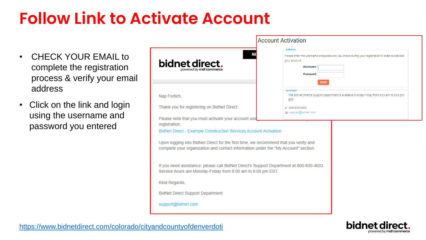### **Follow Link to Activate Account**

- CHECK YOUR EMAIL to complete the registration process & verify your email address
- Click on the link and login using the username and password you entered

|                                                                                                                                                                                                                                                                                                                         | <b>Account Activation</b>                                                                                                                                                                  |
|-------------------------------------------------------------------------------------------------------------------------------------------------------------------------------------------------------------------------------------------------------------------------------------------------------------------------|--------------------------------------------------------------------------------------------------------------------------------------------------------------------------------------------|
| <b>NE</b><br>bidnet direct.<br>powered by <b>mdf commerce</b>                                                                                                                                                                                                                                                           | <b>Activation</b><br>Please enter the username and password you chose during your registration in order to activate<br>your account.<br><b>Username</b><br><b>Password</b><br><b>LOGIN</b> |
| Nap Fortich,                                                                                                                                                                                                                                                                                                            | <b>Need Help?</b><br>The BidNet Direct's Support Department is available Monday-Friday from 8:00 am to 8:00 pm<br>EST.                                                                     |
| Thank you for registering on BidNet Direct.                                                                                                                                                                                                                                                                             | 800-835-4603<br>com support@bidnet.com                                                                                                                                                     |
| Please note that you must activate your account usir<br>registration:<br>BidNet Direct - Example Construction Services Account Activation<br>Upon logging into BidNet Direct for the first time, we recommend that you verify and<br>complete your organization and contact information under the "My Account" section. |                                                                                                                                                                                            |
| If you need assistance, please call BidNet Direct's Support Department at 800-835-4603.<br>Service hours are Monday-Friday from 8:00 am to 8:00 pm EST.                                                                                                                                                                 |                                                                                                                                                                                            |
| Kind Regards,                                                                                                                                                                                                                                                                                                           |                                                                                                                                                                                            |
| <b>BidNet Direct Support Department</b>                                                                                                                                                                                                                                                                                 |                                                                                                                                                                                            |
| support@bidnet.com                                                                                                                                                                                                                                                                                                      |                                                                                                                                                                                            |



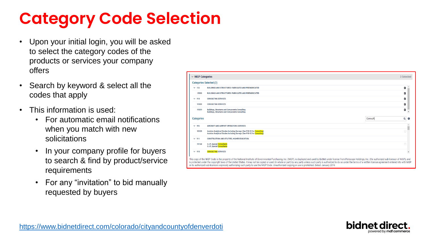### **Category Code Selection**

- Upon your initial login, you will be asked to select the category codes of the products or services your company offers
- Search by keyword & select all the codes that apply
- This information is used:
	- For automatic email notifications when you match with new solicitations
	- In your company profile for buyers to search & find by product/service requirements
	- For any "invitation" to bid manually requested by buyers

|                   | <b>Categories Selected (3)</b>                                                                                                                         |         |         |
|-------------------|--------------------------------------------------------------------------------------------------------------------------------------------------------|---------|---------|
| $\times$ 155      | <b>BUILDINGS AND STRUCTURES: FABRICATED AND PREFABRICATED</b>                                                                                          |         | Û       |
| 15500             | <b>BUILDINGS AND STRUCTURES: FABRICATED AND PREFABRICATED</b>                                                                                          |         | 童       |
| $\times$ 918      | <b>CONSULTING SERVICES</b>                                                                                                                             |         | Ŵ       |
| 91800             | <b>CONSULTING SERVICES</b>                                                                                                                             |         | Ĥ       |
| 91819             | <b>Buildings, Structures and Components Consulting</b><br><b>Buildings, Structures and Components Consulting</b>                                       |         | 面       |
| <b>Categories</b> |                                                                                                                                                        | Consult | $Q$ $Q$ |
| $\times$ 905      | AIRCRAFT AND AIRPORT OPERATIONS SERVICES                                                                                                               |         |         |
| 90528             | Aviation Analytical Studies Including Surveys (See 918-12 for Consulting)<br>Aviation Analytical Studies Including Surveys (See 918-12 for Consulting) |         | $\Box$  |
| $\times$ 911      | <b>CONSTRUCTION AND UTILITIES, HIGHER EDUCATION</b>                                                                                                    |         |         |
| 91158             | <b>C.I.P.</b> , Special <b>Consultants</b><br><b>C.I.P.</b> , Special Consultants                                                                      |         | П       |
| $\times$ 918      | <b>CONSULTING SERVICES</b>                                                                                                                             |         |         |

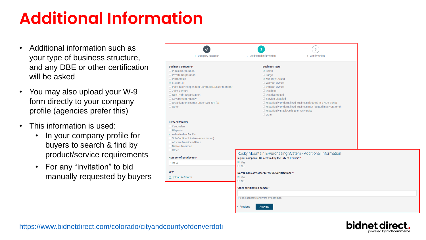#### **Additional Information**

- Additional information such as your type of business structure, and any DBE or other certification will be asked
- You may also upload your W-9 form directly to your company profile (agencies prefer this)
- This information is used:
	- In your company profile for buyers to search & find by product/service requirements
	- For any "invitation" to bid manually requested by buyers

|                                                   | $\overline{2}$                                         | 3                                                                 |  |
|---------------------------------------------------|--------------------------------------------------------|-------------------------------------------------------------------|--|
| 1 - Category Selection                            | 2 - Additional Information                             | 3 - Confirmation                                                  |  |
|                                                   |                                                        |                                                                   |  |
| usiness Structure*                                | <b>Business Type</b>                                   |                                                                   |  |
| <b>Public Corporation</b>                         | $\boxdot$ Small                                        |                                                                   |  |
| <b>Private Corporation</b>                        | $\Box$ Large                                           |                                                                   |  |
| Partnership                                       | Minority Owned                                         |                                                                   |  |
| <b>LLC or LLP</b>                                 | Woman Owned                                            |                                                                   |  |
| Individual/Independent Contractor/Sole Proprietor | Veteran Owned                                          |                                                                   |  |
| <b>Joint Venture</b>                              | $\Box$ Disabled                                        |                                                                   |  |
| Non-Profit Organization                           | Disadvantaged                                          |                                                                   |  |
| <b>Government Agency</b>                          | Service Disabled                                       |                                                                   |  |
| Organization exempt under Sec 501 (a)             |                                                        | □ Historically Underutilized Business (located in a HUB Zone)     |  |
| Other                                             |                                                        | □ Historically Underutilized Business (not located in a HUB Zone) |  |
|                                                   | □ Historically Black College or University             |                                                                   |  |
|                                                   | $\Box$ Other                                           |                                                                   |  |
| wner Ethnicity                                    |                                                        |                                                                   |  |
| Caucasian                                         |                                                        |                                                                   |  |
| Hispanic                                          |                                                        |                                                                   |  |
| Asian/Asian Pacific                               |                                                        |                                                                   |  |
| Sub-Continent Asian (Asian Indian)                |                                                        |                                                                   |  |
| African American/Black                            |                                                        |                                                                   |  |
| <b>Native American</b>                            |                                                        |                                                                   |  |
| Other                                             |                                                        |                                                                   |  |
|                                                   |                                                        | Rocky Mountain E-Purchasing System - Additional Information       |  |
| umber of Employees*                               | Is your company SBE certified by the City of Denver? * |                                                                   |  |
| 11 to 50                                          | ● Yes                                                  |                                                                   |  |
|                                                   | $\circ$ No                                             |                                                                   |  |
| I-9                                               | Do you have any other M/WDBE Certifications?*          |                                                                   |  |
| Upload W-9 form                                   | ● Yes                                                  |                                                                   |  |
|                                                   | $\circ$ No                                             |                                                                   |  |
|                                                   |                                                        |                                                                   |  |
|                                                   | Other certification names:*                            |                                                                   |  |
|                                                   |                                                        |                                                                   |  |
|                                                   | Please separate answers by commas.                     |                                                                   |  |
|                                                   |                                                        |                                                                   |  |
|                                                   | < Previous<br><b>Activate</b>                          |                                                                   |  |
|                                                   |                                                        |                                                                   |  |